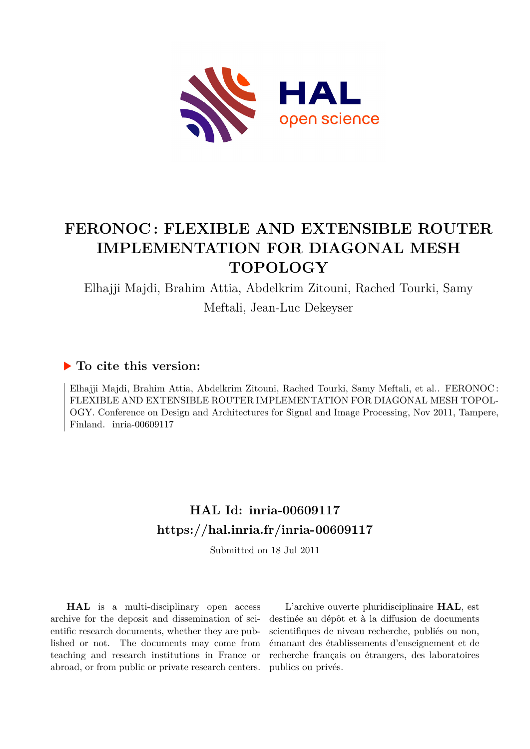

# **FERONOC : FLEXIBLE AND EXTENSIBLE ROUTER IMPLEMENTATION FOR DIAGONAL MESH TOPOLOGY**

Elhajji Majdi, Brahim Attia, Abdelkrim Zitouni, Rached Tourki, Samy

Meftali, Jean-Luc Dekeyser

# **To cite this version:**

Elhajji Majdi, Brahim Attia, Abdelkrim Zitouni, Rached Tourki, Samy Meftali, et al.. FERONOC : FLEXIBLE AND EXTENSIBLE ROUTER IMPLEMENTATION FOR DIAGONAL MESH TOPOL-OGY. Conference on Design and Architectures for Signal and Image Processing, Nov 2011, Tampere, Finland. inria- $00609117$ 

# **HAL Id: inria-00609117 <https://hal.inria.fr/inria-00609117>**

Submitted on 18 Jul 2011

**HAL** is a multi-disciplinary open access archive for the deposit and dissemination of scientific research documents, whether they are published or not. The documents may come from teaching and research institutions in France or abroad, or from public or private research centers.

L'archive ouverte pluridisciplinaire **HAL**, est destinée au dépôt et à la diffusion de documents scientifiques de niveau recherche, publiés ou non, émanant des établissements d'enseignement et de recherche français ou étrangers, des laboratoires publics ou privés.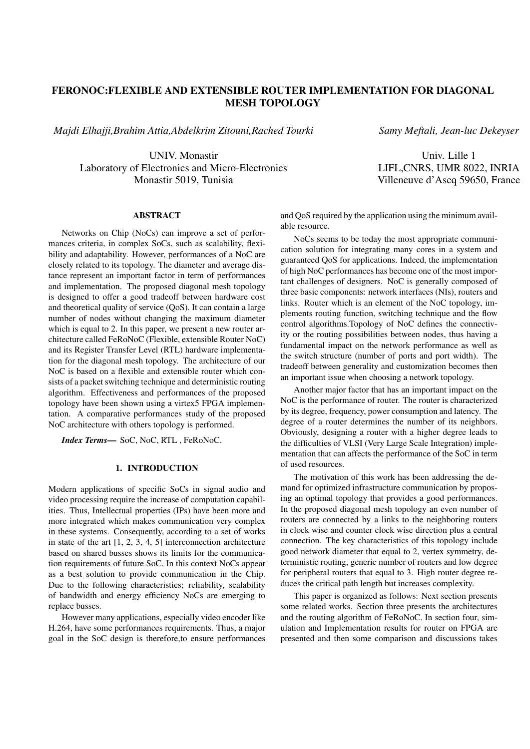# FERONOC:FLEXIBLE AND EXTENSIBLE ROUTER IMPLEMENTATION FOR DIAGONAL MESH TOPOLOGY

*Majdi Elhajji,Brahim Attia,Abdelkrim Zitouni,Rached Tourki*

UNIV. Monastir Laboratory of Electronics and Micro-Electronics Monastir 5019, Tunisia

*Samy Meftali, Jean-luc Dekeyser*

Univ. Lille 1 LIFL,CNRS, UMR 8022, INRIA Villeneuve d'Ascq 59650, France

## ABSTRACT

Networks on Chip (NoCs) can improve a set of performances criteria, in complex SoCs, such as scalability, flexibility and adaptability. However, performances of a NoC are closely related to its topology. The diameter and average distance represent an important factor in term of performances and implementation. The proposed diagonal mesh topology is designed to offer a good tradeoff between hardware cost and theoretical quality of service (QoS). It can contain a large number of nodes without changing the maximum diameter which is equal to 2. In this paper, we present a new router architecture called FeRoNoC (Flexible, extensible Router NoC) and its Register Transfer Level (RTL) hardware implementation for the diagonal mesh topology. The architecture of our NoC is based on a flexible and extensible router which consists of a packet switching technique and deterministic routing algorithm. Effectiveness and performances of the proposed topology have been shown using a virtex5 FPGA implementation. A comparative performances study of the proposed NoC architecture with others topology is performed.

*Index Terms*— SoC, NoC, RTL , FeRoNoC.

### 1. INTRODUCTION

Modern applications of specific SoCs in signal audio and video processing require the increase of computation capabilities. Thus, Intellectual properties (IPs) have been more and more integrated which makes communication very complex in these systems. Consequently, according to a set of works in state of the art [1, 2, 3, 4, 5] interconnection architecture based on shared busses shows its limits for the communication requirements of future SoC. In this context NoCs appear as a best solution to provide communication in the Chip. Due to the following characteristics; reliability, scalability of bandwidth and energy efficiency NoCs are emerging to replace busses.

However many applications, especially video encoder like H.264, have some performances requirements. Thus, a major goal in the SoC design is therefore,to ensure performances and QoS required by the application using the minimum available resource.

NoCs seems to be today the most appropriate communication solution for integrating many cores in a system and guaranteed QoS for applications. Indeed, the implementation of high NoC performances has become one of the most important challenges of designers. NoC is generally composed of three basic components: network interfaces (NIs), routers and links. Router which is an element of the NoC topology, implements routing function, switching technique and the flow control algorithms.Topology of NoC defines the connectivity or the routing possibilities between nodes, thus having a fundamental impact on the network performance as well as the switch structure (number of ports and port width). The tradeoff between generality and customization becomes then an important issue when choosing a network topology.

Another major factor that has an important impact on the NoC is the performance of router. The router is characterized by its degree, frequency, power consumption and latency. The degree of a router determines the number of its neighbors. Obviously, designing a router with a higher degree leads to the difficulties of VLSI (Very Large Scale Integration) implementation that can affects the performance of the SoC in term of used resources.

The motivation of this work has been addressing the demand for optimized infrastructure communication by proposing an optimal topology that provides a good performances. In the proposed diagonal mesh topology an even number of routers are connected by a links to the neighboring routers in clock wise and counter clock wise direction plus a central connection. The key characteristics of this topology include good network diameter that equal to 2, vertex symmetry, deterministic routing, generic number of routers and low degree for peripheral routers that equal to 3. High router degree reduces the critical path length but increases complexity.

This paper is organized as follows: Next section presents some related works. Section three presents the architectures and the routing algorithm of FeRoNoC. In section four, simulation and Implementation results for router on FPGA are presented and then some comparison and discussions takes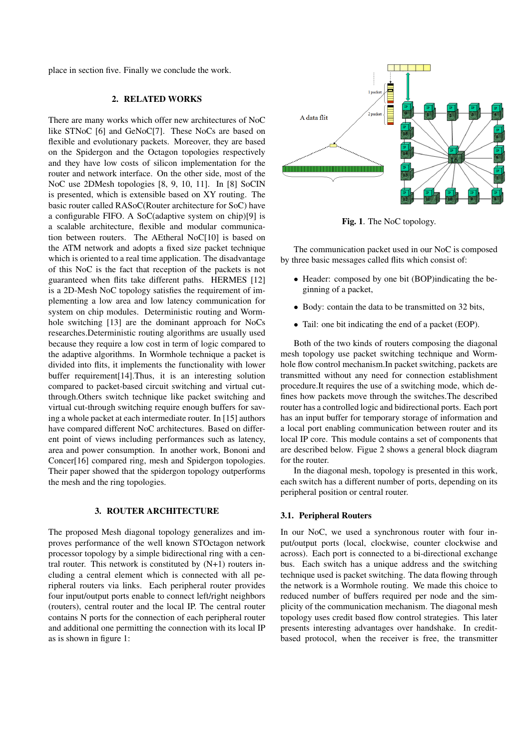place in section five. Finally we conclude the work.

#### 2. RELATED WORKS

There are many works which offer new architectures of NoC like STNoC [6] and GeNoC[7]. These NoCs are based on flexible and evolutionary packets. Moreover, they are based on the Spidergon and the Octagon topologies respectively and they have low costs of silicon implementation for the router and network interface. On the other side, most of the NoC use 2DMesh topologies [8, 9, 10, 11]. In [8] SoCIN is presented, which is extensible based on XY routing. The basic router called RASoC(Router architecture for SoC) have a configurable FIFO. A SoC(adaptive system on chip)[9] is a scalable architecture, flexible and modular communication between routers. The AEtheral NoC[10] is based on the ATM network and adopts a fixed size packet technique which is oriented to a real time application. The disadvantage of this NoC is the fact that reception of the packets is not guaranteed when flits take different paths. HERMES [12] is a 2D-Mesh NoC topology satisfies the requirement of implementing a low area and low latency communication for system on chip modules. Deterministic routing and Wormhole switching [13] are the dominant approach for NoCs researches.Deterministic routing algorithms are usually used because they require a low cost in term of logic compared to the adaptive algorithms. In Wormhole technique a packet is divided into flits, it implements the functionality with lower buffer requirement[14].Thus, it is an interesting solution compared to packet-based circuit switching and virtual cutthrough.Others switch technique like packet switching and virtual cut-through switching require enough buffers for saving a whole packet at each intermediate router. In [15] authors have compared different NoC architectures. Based on different point of views including performances such as latency, area and power consumption. In another work, Bononi and Concer[16] compared ring, mesh and Spidergon topologies. Their paper showed that the spidergon topology outperforms the mesh and the ring topologies.

## 3. ROUTER ARCHITECTURE

The proposed Mesh diagonal topology generalizes and improves performance of the well known STOctagon network processor topology by a simple bidirectional ring with a central router. This network is constituted by (N+1) routers including a central element which is connected with all peripheral routers via links. Each peripheral router provides four input/output ports enable to connect left/right neighbors (routers), central router and the local IP. The central router contains N ports for the connection of each peripheral router and additional one permitting the connection with its local IP as is shown in figure 1:



Fig. 1. The NoC topology.

The communication packet used in our NoC is composed by three basic messages called flits which consist of:

- Header: composed by one bit (BOP)indicating the beginning of a packet,
- *•* Body: contain the data to be transmitted on 32 bits,
- *•* Tail: one bit indicating the end of a packet (EOP).

Both of the two kinds of routers composing the diagonal mesh topology use packet switching technique and Wormhole flow control mechanism.In packet switching, packets are transmitted without any need for connection establishment procedure.It requires the use of a switching mode, which defines how packets move through the switches.The described router has a controlled logic and bidirectional ports. Each port has an input buffer for temporary storage of information and a local port enabling communication between router and its local IP core. This module contains a set of components that are described below. Figue 2 shows a general block diagram for the router.

In the diagonal mesh, topology is presented in this work, each switch has a different number of ports, depending on its peripheral position or central router.

#### 3.1. Peripheral Routers

In our NoC, we used a synchronous router with four input/output ports (local, clockwise, counter clockwise and across). Each port is connected to a bi-directional exchange bus. Each switch has a unique address and the switching technique used is packet switching. The data flowing through the network is a Wormhole routing. We made this choice to reduced number of buffers required per node and the simplicity of the communication mechanism. The diagonal mesh topology uses credit based flow control strategies. This later presents interesting advantages over handshake. In creditbased protocol, when the receiver is free, the transmitter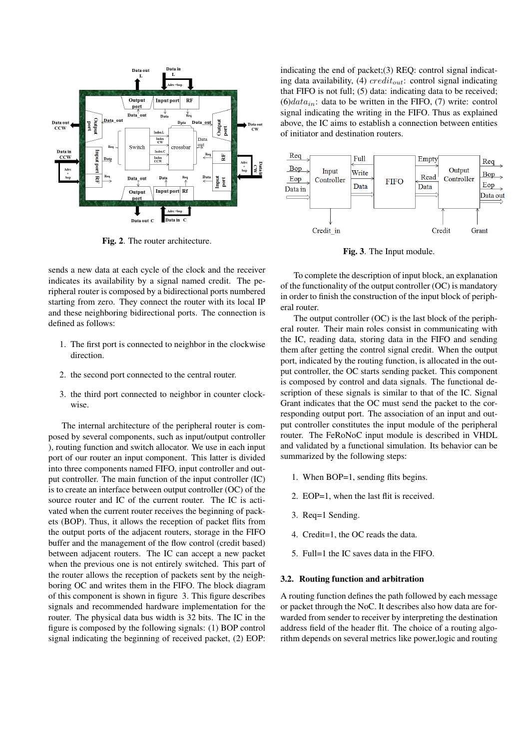

Fig. 2. The router architecture.

sends a new data at each cycle of the clock and the receiver indicates its availability by a signal named credit. The peripheral router is composed by a bidirectional ports numbered starting from zero. They connect the router with its local IP and these neighboring bidirectional ports. The connection is defined as follows:

- 1. The first port is connected to neighbor in the clockwise direction.
- 2. the second port connected to the central router.
- 3. the third port connected to neighbor in counter clockwise.

The internal architecture of the peripheral router is composed by several components, such as input/output controller ), routing function and switch allocator. We use in each input port of our router an input component. This latter is divided into three components named FIFO, input controller and output controller. The main function of the input controller (IC) is to create an interface between output controller (OC) of the source router and IC of the current router. The IC is activated when the current router receives the beginning of packets (BOP). Thus, it allows the reception of packet flits from the output ports of the adjacent routers, storage in the FIFO buffer and the management of the flow control (credit based) between adjacent routers. The IC can accept a new packet when the previous one is not entirely switched. This part of the router allows the reception of packets sent by the neighboring OC and writes them in the FIFO. The block diagram of this component is shown in figure 3. This figure describes signals and recommended hardware implementation for the router. The physical data bus width is 32 bits. The IC in the figure is composed by the following signals: (1) BOP control signal indicating the beginning of received packet, (2) EOP:

indicating the end of packet;(3) REQ: control signal indicating data availability, (4) *creditout*: control signal indicating that FIFO is not full; (5) data: indicating data to be received;  $(6) data<sub>in</sub>$ : data to be written in the FIFO,  $(7)$  write: control signal indicating the writing in the FIFO. Thus as explained above, the IC aims to establish a connection between entities of initiator and destination routers.



Fig. 3. The Input module.

To complete the description of input block, an explanation of the functionality of the output controller (OC) is mandatory in order to finish the construction of the input block of peripheral router.

The output controller (OC) is the last block of the peripheral router. Their main roles consist in communicating with the IC, reading data, storing data in the FIFO and sending them after getting the control signal credit. When the output port, indicated by the routing function, is allocated in the output controller, the OC starts sending packet. This component is composed by control and data signals. The functional description of these signals is similar to that of the IC. Signal Grant indicates that the OC must send the packet to the corresponding output port. The association of an input and output controller constitutes the input module of the peripheral router. The FeRoNoC input module is described in VHDL and validated by a functional simulation. Its behavior can be summarized by the following steps:

- 1. When BOP=1, sending flits begins.
- 2. EOP=1, when the last flit is received.
- 3. Req=1 Sending.
- 4. Credit=1, the OC reads the data.
- 5. Full=1 the IC saves data in the FIFO.

#### 3.2. Routing function and arbitration

A routing function defines the path followed by each message or packet through the NoC. It describes also how data are forwarded from sender to receiver by interpreting the destination address field of the header flit. The choice of a routing algorithm depends on several metrics like power,logic and routing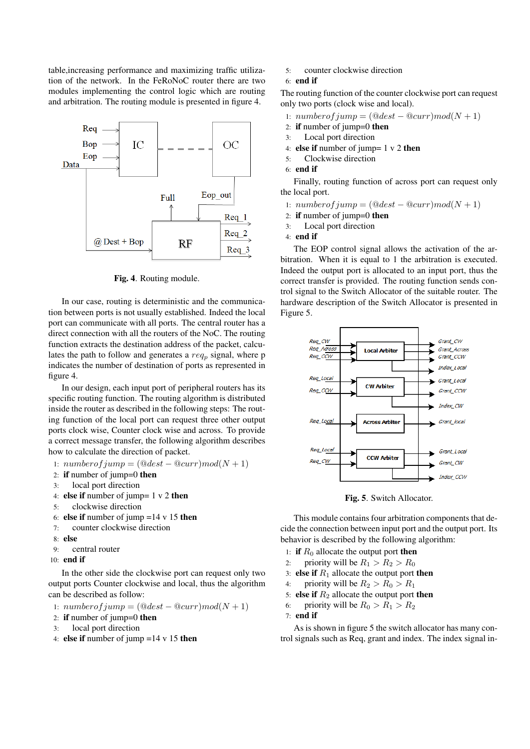table,increasing performance and maximizing traffic utilization of the network. In the FeRoNoC router there are two modules implementing the control logic which are routing and arbitration. The routing module is presented in figure 4.



Fig. 4. Routing module.

In our case, routing is deterministic and the communication between ports is not usually established. Indeed the local port can communicate with all ports. The central router has a direct connection with all the routers of the NoC. The routing function extracts the destination address of the packet, calculates the path to follow and generates a *req<sup>p</sup>* signal, where p indicates the number of destination of ports as represented in figure 4.

In our design, each input port of peripheral routers has its specific routing function. The routing algorithm is distributed inside the router as described in the following steps: The routing function of the local port can request three other output ports clock wise, Counter clock wise and across. To provide a correct message transfer, the following algorithm describes how to calculate the direction of packet.

1:  $numberof jump = (@dest - @curr)mod(N + 1)$ 

- 2: if number of jump=0 then
- 3: local port direction
- 4: else if number of jump= 1 v 2 then
- 5: clockwise direction
- 6: else if number of jump =14 v 15 then
- 7: counter clockwise direction
- 8: else
- 9: central router
- 10: end if

In the other side the clockwise port can request only two output ports Counter clockwise and local, thus the algorithm can be described as follow:

1:  $numberof jump = (@dest - @curr)mod(N + 1)$ 

- 2: if number of jump=0 then
- 3: local port direction
- 4: **else if** number of jump =14 v 15 **then**

5: counter clockwise direction

#### 6: end if

The routing function of the counter clockwise port can request only two ports (clock wise and local).

1: 
$$
numberofjump = (@dest - Qcurr)mod(N + 1)
$$

- 2: if number of jump=0 then
- 3: Local port direction
- 4: **else if** number of jump=  $1 \text{ v } 2$  **then**
- 5: Clockwise direction

```
6: end if
```
Finally, routing function of across port can request only the local port.

- 1:  $numberof\,iump = (\mathbb{Q}dest \mathbb{Q}curr)mod(N + 1)$
- 2: if number of jump=0 then
- 3: Local port direction
- 4: end if

The EOP control signal allows the activation of the arbitration. When it is equal to 1 the arbitration is executed. Indeed the output port is allocated to an input port, thus the correct transfer is provided. The routing function sends control signal to the Switch Allocator of the suitable router. The hardware description of the Switch Allocator is presented in Figure 5.



Fig. 5. Switch Allocator.

This module contains four arbitration components that decide the connection between input port and the output port. Its behavior is described by the following algorithm:

- 1: if  $R_0$  allocate the output port then
- 2: priority will be  $R_1 > R_2 > R_0$
- 3: **else if**  $R_1$  allocate the output port **then**
- 4: priority will be  $R_2 > R_0 > R_1$
- 5: **else if**  $R_2$  allocate the output port **then**
- 6: priority will be  $R_0 > R_1 > R_2$

```
7: end if
```
As is shown in figure 5 the switch allocator has many control signals such as Req, grant and index. The index signal in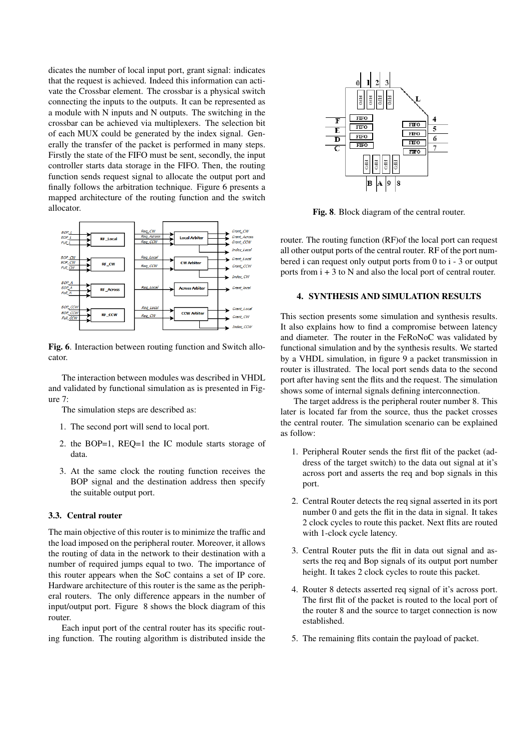dicates the number of local input port, grant signal: indicates that the request is achieved. Indeed this information can activate the Crossbar element. The crossbar is a physical switch connecting the inputs to the outputs. It can be represented as a module with N inputs and N outputs. The switching in the crossbar can be achieved via multiplexers. The selection bit of each MUX could be generated by the index signal. Generally the transfer of the packet is performed in many steps. Firstly the state of the FIFO must be sent, secondly, the input controller starts data storage in the FIFO. Then, the routing function sends request signal to allocate the output port and finally follows the arbitration technique. Figure 6 presents a mapped architecture of the routing function and the switch allocator.



Fig. 6. Interaction between routing function and Switch allocator.

The interaction between modules was described in VHDL and validated by functional simulation as is presented in Figure 7:

The simulation steps are described as:

- 1. The second port will send to local port.
- 2. the BOP=1, REQ=1 the IC module starts storage of data.
- 3. At the same clock the routing function receives the BOP signal and the destination address then specify the suitable output port.

#### 3.3. Central router

The main objective of this router is to minimize the traffic and the load imposed on the peripheral router. Moreover, it allows the routing of data in the network to their destination with a number of required jumps equal to two. The importance of this router appears when the SoC contains a set of IP core. Hardware architecture of this router is the same as the peripheral routers. The only difference appears in the number of input/output port. Figure 8 shows the block diagram of this router.

Each input port of the central router has its specific routing function. The routing algorithm is distributed inside the



Fig. 8. Block diagram of the central router.

router. The routing function (RF)of the local port can request all other output ports of the central router. RF of the port numbered i can request only output ports from 0 to i - 3 or output ports from i + 3 to N and also the local port of central router.

### 4. SYNTHESIS AND SIMULATION RESULTS

This section presents some simulation and synthesis results. It also explains how to find a compromise between latency and diameter. The router in the FeRoNoC was validated by functional simulation and by the synthesis results. We started by a VHDL simulation, in figure 9 a packet transmission in router is illustrated. The local port sends data to the second port after having sent the flits and the request. The simulation shows some of internal signals defining interconnection.

The target address is the peripheral router number 8. This later is located far from the source, thus the packet crosses the central router. The simulation scenario can be explained as follow:

- 1. Peripheral Router sends the first flit of the packet (address of the target switch) to the data out signal at it's across port and asserts the req and bop signals in this port.
- 2. Central Router detects the req signal asserted in its port number 0 and gets the flit in the data in signal. It takes 2 clock cycles to route this packet. Next flits are routed with 1-clock cycle latency.
- 3. Central Router puts the flit in data out signal and asserts the req and Bop signals of its output port number height. It takes 2 clock cycles to route this packet.
- 4. Router 8 detects asserted req signal of it's across port. The first flit of the packet is routed to the local port of the router 8 and the source to target connection is now established.
- 5. The remaining flits contain the payload of packet.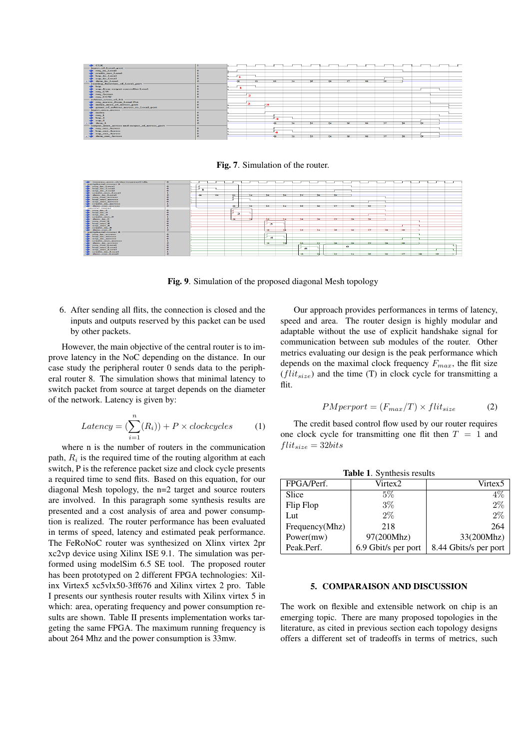| $\Rightarrow$ CLK                           |            |    |                 |       |     |     |              |     |    |    |    |  |
|---------------------------------------------|------------|----|-----------------|-------|-----|-----|--------------|-----|----|----|----|--|
| input of Local port                         |            |    |                 |       |     |     |              |     |    |    |    |  |
| req in Local                                |            |    |                 |       |     |     |              |     |    |    |    |  |
| credit out Local                            |            |    |                 |       |     |     |              |     |    |    |    |  |
| bop in Local                                |            |    |                 |       |     |     |              |     |    |    |    |  |
| cop in Local                                |            |    |                 |       |     |     |              |     |    |    |    |  |
| and data in Local                           | $\sqrt{N}$ | v. | $\mathbf{r}$    | Y.    | Ye. | Ya. | $\mathbf{v}$ | Yж  | Ye |    |    |  |
| routing function of Local port              |            |    |                 |       |     |     |              |     |    |    |    |  |
| bop.                                        | ٠          |    |                 |       |     |     |              |     |    |    |    |  |
| cop_from output controller Local            |            |    |                 |       |     |     |              |     |    |    |    |  |
| req. CW                                     |            |    |                 |       |     |     |              |     |    |    |    |  |
| req Across                                  |            | ۰  |                 |       |     |     |              |     |    |    |    |  |
| $\rightarrow$ req. CCW                      |            |    |                 |       |     |     |              |     |    |    |    |  |
| arbiter cross of SA                         |            |    |                 |       |     |     |              |     |    |    |    |  |
| req_across_from_Local Pot                   |            |    |                 |       |     |     |              |     |    |    |    |  |
| index_mux_of_across_port                    |            |    | ×               |       |     |     |              |     |    |    |    |  |
| grant of arbiter across to Local port       |            |    |                 |       |     |     |              |     |    |    |    |  |
| input mux scross -                          |            |    |                 |       |     |     |              |     |    |    |    |  |
| index                                       |            |    |                 |       |     |     |              |     |    |    |    |  |
| $req_1$                                     |            |    |                 |       |     |     |              |     |    |    |    |  |
| $bop_1$                                     |            |    | a.              |       |     |     |              |     |    |    |    |  |
| $eop_1$                                     |            |    |                 |       |     |     |              |     |    |    |    |  |
| data 1<br><b>Service</b>                    |            |    | GS <sup>-</sup> | YN.   | ۳v  |     |              |     |    |    |    |  |
| output_mux_across and output_of_across_port |            |    |                 |       |     |     |              |     |    |    |    |  |
| req.out.Across                              |            |    |                 |       |     |     |              |     |    |    |    |  |
| bop_out_Aeross                              |            |    |                 |       |     |     |              |     |    |    |    |  |
| eop_out_Across                              |            |    |                 |       |     |     |              |     |    |    |    |  |
| data_out_Across<br>$+1$ $-2$                |            |    | G <sub>2</sub>  | $Y_2$ | Y.  | Y.  | Ye.          | Ye. | v. | Yм | Y. |  |
|                                             |            |    |                 |       |     |     |              |     |    |    |    |  |

Fig. 7. Simulation of the router.

| Pesseau new th/dut/routeur0/clk        | $\sim$ |       |           |       |         |           |                  |         |           |           |      |            |            |       |            |      |  |
|----------------------------------------|--------|-------|-----------|-------|---------|-----------|------------------|---------|-----------|-----------|------|------------|------------|-------|------------|------|--|
| nerinheral couter 0 =                  |        |       |           |       |         |           |                  |         |           |           |      |            |            |       |            |      |  |
| req in Local                           |        |       |           |       |         |           |                  |         |           |           |      |            |            |       |            |      |  |
| bop in Local                           |        | п     |           |       |         |           |                  |         |           |           |      |            |            |       |            |      |  |
| sop_in_Local                           |        |       |           |       |         |           |                  |         |           |           |      |            |            |       |            |      |  |
| credit out Local                       |        |       |           |       |         |           |                  |         |           |           |      |            |            |       |            |      |  |
| data in Local                          |        | $-68$ | <b>YH</b> | YN.   | $Y - 1$ | TA.       | <b>Telesting</b> | Y7.     | <b>YR</b> | $10 -$    |      |            |            |       |            |      |  |
| req_out_across                         |        |       |           |       |         |           |                  |         |           |           |      |            |            |       |            |      |  |
| here may avenue                        |        |       |           |       |         |           |                  |         |           |           |      |            |            |       |            |      |  |
| cop_out_across                         |        |       |           |       |         |           |                  |         |           |           |      |            |            |       |            |      |  |
| credit in account                      |        |       |           |       |         |           |                  |         |           |           |      |            |            |       |            |      |  |
| data out across                        |        |       |           | $-66$ | $Y_2$   | Y.        | <b>Yat</b>       | $X = 1$ | Ye        | $Y =$     | Yu   | Yu.        |            |       |            |      |  |
| construct contrary                     |        |       |           |       |         |           |                  |         |           |           |      |            |            |       |            |      |  |
| $\blacktriangleright$ req. in $\theta$ |        |       |           |       |         |           |                  |         |           |           |      |            |            |       |            |      |  |
| bop in 0                               |        |       |           | 2     |         |           |                  |         |           |           |      |            |            |       |            |      |  |
| nop_in_0                               |        |       |           |       |         |           |                  |         |           |           |      |            |            |       |            |      |  |
| credit out 0                           |        |       |           |       |         |           |                  |         |           |           |      |            |            |       |            |      |  |
| data_in_0                              |        |       |           | $-68$ |         | Y.A.      |                  | Ye.     | Ye.       | Y7.       | YH   | You        |            |       |            |      |  |
| req. out 8                             |        |       |           |       |         |           |                  |         |           |           |      |            |            |       |            |      |  |
| <b>Beings Street, St.</b>              |        |       |           |       |         | Tа        |                  |         |           |           |      |            |            |       |            |      |  |
| cop out 5                              |        |       |           |       |         |           |                  |         |           |           |      |            |            |       |            |      |  |
| consider to B                          |        |       |           |       |         |           |                  |         |           |           |      |            |            |       |            |      |  |
| data out 0                             |        |       |           |       |         | $-68$     |                  | Y.s.    | Y4.       | Ye.       | Ye   | Y7.        | <b>Yes</b> | Yu.   |            |      |  |
| peripheen1 router 8                    |        |       |           |       |         |           |                  |         |           |           |      |            |            |       |            |      |  |
| year in across                         |        |       |           |       |         |           |                  |         |           |           |      |            |            |       |            |      |  |
| bop_in_seross                          |        |       |           |       |         | ×.        |                  |         |           |           |      |            |            |       |            |      |  |
| cop in seross                          |        |       |           |       |         |           |                  |         |           |           |      |            |            |       |            |      |  |
| credit out across                      |        |       |           |       |         |           |                  |         |           |           |      |            |            |       |            |      |  |
| data in account                        |        |       |           |       |         | $ \alpha$ |                  |         |           | 18.       | X6.  | - 27       | $-28$      | $19-$ |            |      |  |
| req. out Local                         |        |       |           |       |         |           |                  |         |           |           | 6    |            |            |       |            |      |  |
| <b>Boy not Look</b>                    |        |       |           |       |         |           |                  | $\sim$  |           |           |      |            |            |       |            |      |  |
| cop_out_Local                          |        |       |           |       |         |           |                  |         |           |           |      |            |            |       |            |      |  |
| credit in Local                        |        |       |           |       |         |           |                  |         |           |           |      |            |            |       |            |      |  |
| data out Local                         |        |       |           |       |         |           |                  | -68     |           | <b>Ya</b> | Yes. | <b>Yet</b> | Yes.       | Y7.   | <b>Yes</b> | Yes: |  |
|                                        |        |       |           |       |         |           |                  |         |           |           |      |            |            |       |            |      |  |

Fig. 9. Simulation of the proposed diagonal Mesh topology

6. After sending all flits, the connection is closed and the inputs and outputs reserved by this packet can be used by other packets.

However, the main objective of the central router is to improve latency in the NoC depending on the distance. In our case study the peripheral router 0 sends data to the peripheral router 8. The simulation shows that minimal latency to switch packet from source at target depends on the diameter of the network. Latency is given by:

$$
Latency = (\sum_{i=1}^{n} (R_i)) + P \times clock cycles \tag{1}
$$

where n is the number of routers in the communication path,  $R_i$  is the required time of the routing algorithm at each switch, P is the reference packet size and clock cycle presents a required time to send flits. Based on this equation, for our diagonal Mesh topology, the n=2 target and source routers are involved. In this paragraph some synthesis results are presented and a cost analysis of area and power consumption is realized. The router performance has been evaluated in terms of speed, latency and estimated peak performance. The FeRoNoC router was synthesized on Xlinx virtex 2pr xc2vp device using Xilinx ISE 9.1. The simulation was performed using modelSim 6.5 SE tool. The proposed router has been prototyped on 2 different FPGA technologies: Xilinx Virtex5 xc5vlx50-3ff676 and Xilinx virtex 2 pro. Table I presents our synthesis router results with Xilinx virtex 5 in which: area, operating frequency and power consumption results are shown. Table II presents implementation works targeting the same FPGA. The maximum running frequency is about 264 Mhz and the power consumption is 33mw.

Our approach provides performances in terms of latency, speed and area. The router design is highly modular and adaptable without the use of explicit handshake signal for communication between sub modules of the router. Other metrics evaluating our design is the peak performance which depends on the maximal clock frequency *Fmax*, the flit size (*flitsize*) and the time (T) in clock cycle for transmitting a flit.

$$
PM perport = (F_{max}/T) \times flit_{size}
$$
 (2)

The credit based control flow used by our router requires one clock cycle for transmitting one flit then  $T = 1$  and *flitsize* = 32*bits*

Table 1. Synthesis results

| FPGA/Perf.     | Virtex2             | Virtex5               |
|----------------|---------------------|-----------------------|
| Slice          | 5%                  | 4%                    |
| Flip Flop      | $3\%$               | 2%                    |
| Lut            | $2\%$               | $2\%$                 |
| Frequency(Mhz) | 218                 | 264                   |
| Power(mw)      | 97(200Mhz)          | 33(200Mhz)            |
| Peak.Perf.     | 6.9 Gbit/s per port | 8.44 Gbits/s per port |

#### 5. COMPARAISON AND DISCUSSION

The work on flexible and extensible network on chip is an emerging topic. There are many proposed topologies in the literature, as cited in previous section each topology designs offers a different set of tradeoffs in terms of metrics, such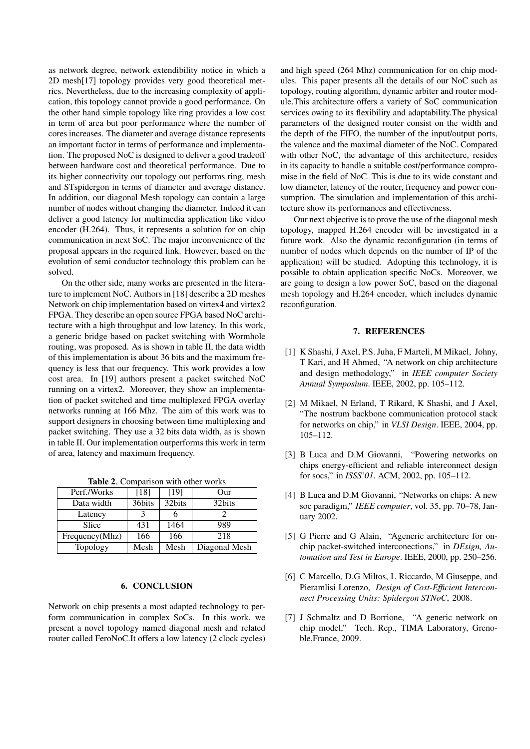as network degree, network extendibility notice in which a 2D mesh[17] topology provides very good theoretical metrics. Nevertheless, due to the increasing complexity of application, this topology cannot provide a good performance. On the other hand simple topology like ring provides a low cost in term of area but poor performance where the number of cores increases. The diameter and average distance represents an important factor in terms of performance and implementation. The proposed NoC is designed to deliver a good tradeoff between hardware cost and theoretical performance. Due to its higher connectivity our topology out performs ring, mesh and STspidergon in terms of diameter and average distance. In addition, our diagonal Mesh topology can contain a large number of nodes without changing the diameter. Indeed it can deliver a good latency for multimedia application like video encoder (H.264). Thus, it represents a solution for on chip communication in next SoC. The major inconvenience of the proposal appears in the required link. However, based on the evolution of semi conductor technology this problem can be solved.

On the other side, many works are presented in the literature to implement NoC. Authors in [18] describe a 2D meshes Network on chip implementation based on virtex4 and virtex2 FPGA. They describe an open source FPGA based NoC architecture with a high throughput and low latency. In this work, a generic bridge based on packet switching with Wormhole routing, was proposed. As is shown in table II, the data width of this implementation is about 36 bits and the maximum frequency is less that our frequency. This work provides a low cost area. In [19] authors present a packet switched NoC running on a virtex2. Moreover, they show an implementation of packet switched and time multiplexed FPGA overlay networks running at 166 Mhz. The aim of this work was to support designers in choosing between time multiplexing and packet switching. They use a 32 bits data width, as is shown in table II. Our implementation outperforms this work in term of area, latency and maximum frequency.

Table 2. Comparison with other works

| Perf./Works    | [18]   | [19]   | Our           |
|----------------|--------|--------|---------------|
| Data width     | 36bits | 32bits | 32bits        |
| Latency        |        |        |               |
| Slice          | 431    | 1464   | 989           |
| Frequency(Mhz) | 166    | 166    | 218           |
| Topology       | Mesh   | Mesh   | Diagonal Mesh |

#### 6. CONCLUSION

Network on chip presents a most adapted technology to perform communication in complex SoCs. In this work, we present a novel topology named diagonal mesh and related router called FeroNoC.It offers a low latency (2 clock cycles)

and high speed (264 Mhz) communication for on chip modules. This paper presents all the details of our NoC such as topology, routing algorithm, dynamic arbiter and router module.This architecture offers a variety of SoC communication services owing to its flexibility and adaptability.The physical parameters of the designed router consist on the width and the depth of the FIFO, the number of the input/output ports, the valence and the maximal diameter of the NoC. Compared with other NoC, the advantage of this architecture, resides in its capacity to handle a suitable cost/performance compromise in the field of NoC. This is due to its wide constant and low diameter, latency of the router, frequency and power consumption. The simulation and implementation of this architecture show its performances and effectiveness.

Our next objective is to prove the use of the diagonal mesh topology, mapped H.264 encoder will be investigated in a future work. Also the dynamic reconfiguration (in terms of number of nodes which depends on the number of IP of the application) will be studied. Adopting this technology, it is possible to obtain application specific NoCs. Moreover, we are going to design a low power SoC, based on the diagonal mesh topology and H.264 encoder, which includes dynamic reconfiguration.

#### 7. REFERENCES

- [1] K Shashi, J Axel, P.S. Juha, F Marteli, M Mikael, Johny, T Kari, and H Ahmed, "A network on chip architecture and design methodology," in *IEEE computer Society Annual Symposium*. IEEE, 2002, pp. 105–112.
- [2] M Mikael, N Erland, T Rikard, K Shashi, and J Axel, "The nostrum backbone communication protocol stack for networks on chip," in *VLSI Design*. IEEE, 2004, pp. 105–112.
- [3] B Luca and D.M Giovanni, "Powering networks on chips energy-efficient and reliable interconnect design for socs," in *ISSS'01*. ACM, 2002, pp. 105–112.
- [4] B Luca and D.M Giovanni, "Networks on chips: A new soc paradigm," *IEEE computer*, vol. 35, pp. 70–78, January 2002.
- [5] G Pierre and G Alain, "Ageneric architecture for onchip packet-switched interconections," in *DEsign, Automation and Test in Europe*. IEEE, 2000, pp. 250–256.
- [6] C Marcello, D.G Miltos, L Riccardo, M Giuseppe, and Pieramlisi Lorenzo, *Design of Cost-Efficient Interconnect Processing Units: Spidergon STNoC*, 2008.
- [7] J Schmaltz and D Borrione, "A generic network on chip model," Tech. Rep., TIMA Laboratory, Grenoble,France, 2009.